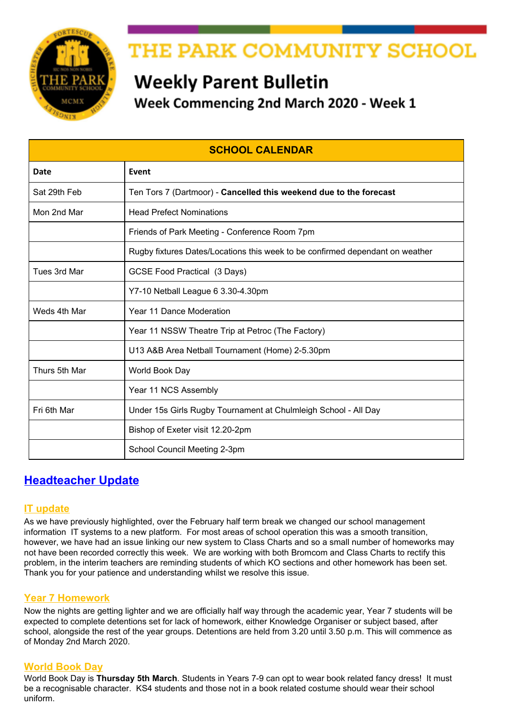

## THE PARK COMMUNITY SCHOOL

## **Weekly Parent Bulletin** Week Commencing 2nd March 2020 - Week 1

| <b>SCHOOL CALENDAR</b> |                                                                               |
|------------------------|-------------------------------------------------------------------------------|
| Date                   | Event                                                                         |
| Sat 29th Feb           | Ten Tors 7 (Dartmoor) - Cancelled this weekend due to the forecast            |
| Mon 2nd Mar            | <b>Head Prefect Nominations</b>                                               |
|                        | Friends of Park Meeting - Conference Room 7pm                                 |
|                        | Rugby fixtures Dates/Locations this week to be confirmed dependant on weather |
| Tues 3rd Mar           | <b>GCSE Food Practical (3 Days)</b>                                           |
|                        | Y7-10 Netball League 6 3.30-4.30pm                                            |
| Weds 4th Mar           | Year 11 Dance Moderation                                                      |
|                        | Year 11 NSSW Theatre Trip at Petroc (The Factory)                             |
|                        | U13 A&B Area Netball Tournament (Home) 2-5.30pm                               |
| Thurs 5th Mar          | World Book Day                                                                |
|                        | Year 11 NCS Assembly                                                          |
| Fri 6th Mar            | Under 15s Girls Rugby Tournament at Chulmleigh School - All Day               |
|                        | Bishop of Exeter visit 12.20-2pm                                              |
|                        | School Council Meeting 2-3pm                                                  |

## **Headteacher Update**

### **IT update**

As we have previously highlighted, over the February half term break we changed our school management information IT systems to a new platform. For most areas of school operation this was a smooth transition, however, we have had an issue linking our new system to Class Charts and so a small number of homeworks may not have been recorded correctly this week. We are working with both Bromcom and Class Charts to rectify this problem, in the interim teachers are reminding students of which KO sections and other homework has been set. Thank you for your patience and understanding whilst we resolve this issue.

### **Year 7 Homework**

Now the nights are getting lighter and we are officially half way through the academic year, Year 7 students will be expected to complete detentions set for lack of homework, either Knowledge Organiser or subject based, after school, alongside the rest of the year groups. Detentions are held from 3.20 until 3.50 p.m. This will commence as of Monday 2nd March 2020.

#### **World Book Day**

World Book Day is **Thursday 5th March**. Students in Years 7-9 can opt to wear book related fancy dress! It must be a recognisable character. KS4 students and those not in a book related costume should wear their school uniform.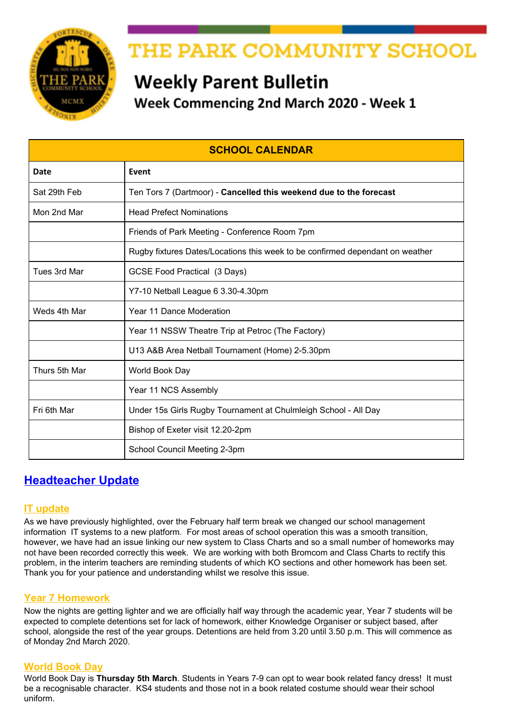#### **Equipment**

Having the 'right tools for the job' is essential for many roles. This is the same in school. Can you please make sure your son/daughter has the right equipment and they bring this to school on a daily basis. A list of school equipment can be found in the front of the Contact Book [\(equipment](https://drive.google.com/open?id=1CQu2zjiiN6yk3nABf_0eXWr75T1Bo8kf) list) and items are available as a pack or individually from our school reception [\(stock](http://www.theparkschool.org.uk/sites/default/files/School_Shop_Poster.pdf) list) or several local shops

#### **Coronavirus**

I am sure your news feeds, headlines and inboxes will have been filled with various updates regarding coronavirus. As a school we are working with the Tarka Learning Partnership and following the daily updates and advice from Public Health England, Department for Education and Devon County Council. We have contacted parents regarding our ski trip and will continue to monitor the situation closely.

#### **Travel to school**

Parents may have noticed the changes to Hiern Drive undertaken by DCC over the half term break. Speed bumps have been removed and several potholes repaired. Can I remind all parents that access the school via this route to drive at a sensible speed and to be aware of other road users and especially our pedestrian crossing from school onto the footpath. Can I also remind parents that parking on and around Chichester Close is for residents only.

## **STEM Competition**



Congratulations to our Park School team who have been named semi-finalists in the running to win the Longitude Explorer Prize. Good luck in the next round! [#Park](https://www.facebook.com/hashtag/park?source=feed_text&epa=HASHTAG&__xts__%5B0%5D=68.ARAxmWb7-4HiT4AY5mICvinJ-RX_qJRyS4VuEO4xWqT8KWAcwHUblLEfFnHMNOLEgnpIfKNc0087k6nFsWb8keuHEDOx_yaWQzWX8MXWLVPQdzy4qbQQ-wPCKGbgOH_87wbe3KTf1DJhoIky9jqTDkRuj7IOZFLwIOqnNoPAvuj2Icu2_i31db8dMt8LgDOUncyAN8b2sMSFbCyamPUs91iSdbyP-YsVVYl3ZMWxCUErDZSd-uvWmETNyoL9VlS1eCK2kiViqsGTtBIAfX220eYglse_hcYwLisUdXpW2UGXWByTNqDN6hPzJu0pPlLR3juOH4pXLonX411xyAhReJo0w2kN&__tn__=%2ANK-R) Stars.

Read the [North Devon Journal article](https://www.devonlive.com/news/local-news/students-big-ideas-tackle-global-3811351) linked here for more details.

#### **Student events this weekend**

Finally I wish our gymnasts and Youth Speaks teams good luck for their competitions over this weekend.

*(N&Z{a?nyVhZ1) ZNX{ZNVaZx*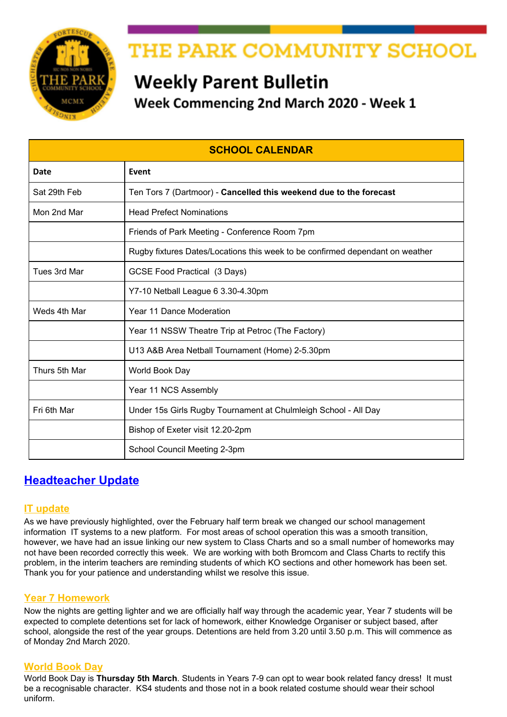





# **FRIENDS OF PARK MEETING** Monday 2nd March at 7pm **Conference Room**

## We would love to welcome any newcomers

## **COMPETITIONS**

### **Calling all writers!**

j

Park School English department has launched its very own writing competition. This will run termly with prizes for winners and runners-up, as well as entry into an annual published anthology.

This is open to all year groups and you will be judged against others in your year. This term's theme is 'New Beginnings'. See posters in the Library and English corridor for more details.

## **SCHOOL TRIPS**

Please ensure that you keep up to date with paying the instalments for any trips that your child has signed up for.

#### **Torquay Residential**

Please return the medical form issued to students last term as soon as possible. The next instalment is also due for this trip.

### **French Residential**

Students do NOT need a passport. To apply for a GROUP passport, we require parents to complete and return the Collective Passport Questionnaire urgently, please kindly ensure you return the form as soon as possible.

#### **New York July 2020**

Please remember the final instalment was due on 1/2/20. We held a student meeting on Tuesday 14th January and issued a Parental Consent Form and Passport Form to be completed and returned by 1st February.

#### **Ski Trip 2020**

We are monitoring the situation with regards to the Coronavirus and travelling to Italy. We will keep parents informed if there are any developments.

#### **Ski Trip 2021 - Trip is Now Full**

This trip is now full, if your son/daughter is interested they can still pick up a letter from pupil reception and return the reply slip, their name will be added to a waiting list.

#### **Ski Trip 2022**

We will soon be advertising places for the 2022 trip. We will let you know when the letter is available. It is a fantastic opportunity to experience something new, either skiing or snowboarding, or improve technique if they are more experienced.

Videos of the Ski 2019 trip can be found by clicking below: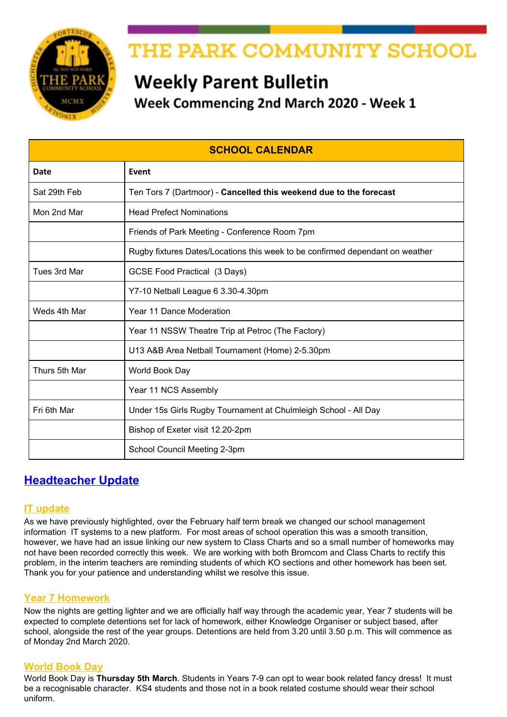Full Film - [https://youtu.be/757sL\\_PXyug](https://youtu.be/757sL_PXyug) Ski Fails - <https://youtu.be/E8fp0VuSvQc>

If you need to know any more details, please do not hesitate to contact Mr James: ljames@theparkschool.org.uk or contact the school office.

## **MATHS INFORMATION**



## **Maths Puzzle of the Week**

Each week the maths department issues a maths puzzle for students.

The Puzzle Of The Week can be viewed on your child's tutor group notice board as well as on display outside Maths 11.

They should put their solution in the box in their Maths room by the end of the week for a chance of winning the weekly prize.

The winner for week 21 was **Lleyton Weston 11DG**

### **PARK COMMUNITY SCHOOL LOTTERY**

Ĵ Ĵ

#### **This Weeks' Lucky Winner**

Congratulations to MrsH who won £35.40

*If you are a winner and would also like to donate your winnings back to the school, we would be very grateful.*

#### **Have you registered for the Lottery?**

If you have registered for the Lottery, please ensure you also set up your ticket. People have registered to play the lottery, but have not bought a ticket, so are not included in the lottery draw each week

#### **How the lottery benefits your school**

ľ

So far we have sold 123 tickets - each ticket costs £1 per week and 40% of the money raised goes to Friends of Park school projects.

The lottery is a fun and effective way to raise money to improve our school. But we need your help to make the lottery the best it can be, so please support the lottery today - and who knows, maybe you'll be the next £25,000 winner!

## **For more information and to sign up click [here](https://www.yourschoollottery.co.uk/lottery/school/the-park-community-school).**

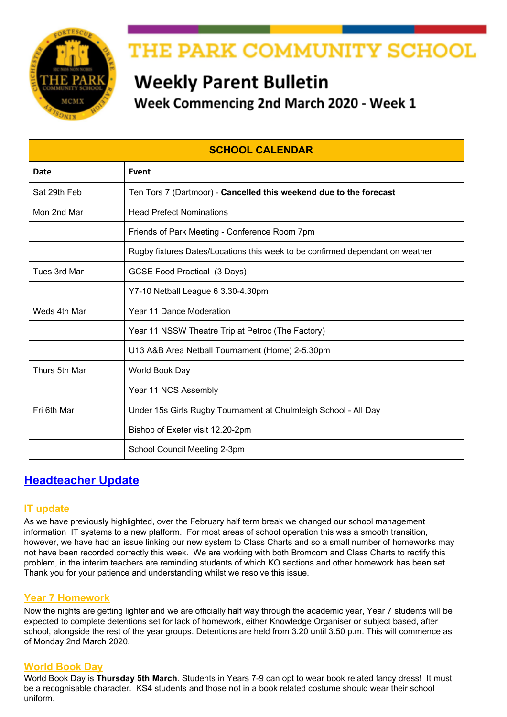## **Year 9 Options Key Dates**

- From **Monday 2nd March** Options Interviews
- **March, April and May** Timetabling and further conversations with students
- **June** Final subjects communicated with parents/students via letter

## **Year 9 Careers Programme – CAREER PILOT**

Year 9 students have all used the Career Pilot website to carry out research about subjects and the careers that subjects can lead to. This is part of the careers programme leading up to students making their subject choices in February. Students have a workbook to record their research and after the session on Career Pilot at school, can take the book home and show parents/carers how the website works and share the research they have carried out. They can continue research if they are undecided about which subjects to choose.

Students will also be receiving information from employers and Careers South West about employment opportunities in the South West. Petroc and Careers South West will be attending the Options Evening.

#### G'H ca Uq'

j

j j

## **CAREERS (YEAR 9,10 AND 11)**

#### **Petroc Annual Apprenticeship Event - North Devon Campus**

Petroc would like to invite our students to attend their annual Apprenticeship Event on 5th March, 2020.

It is predominantly aimed at **Year 11** as a recruitment event, **however years 9 and 10 are welcome to attend** to start exploring the apprenticeship option.

The event is open to the general public from 4pm, so students can attend with parents or carers and have access to all activities.

The Sports Hall will be sectioned into three different zones:

- Advisory Zone This area will give pupil general advice about apprenticeships
- Sector Zone Each industry will have its own section so if pupils are interested in a certain area they can speak to different employers within that business.
- Breakout zone opportunity for small discussions (1-1 or small groups) with employers.

To encourage students to speak to employers they have asked employers to bring some interactive activities. Petroc is also organising a quiz/questionnaire to open up conversation with the employers with the opportunity to win a prize.

Students can bring in their CVs to show employers or their Career Advisor Mark Turnball. This may open up some work experience opportunities!

## **YEAR 10 WORK EXPERIENCE**

#### **North Devon Hospice Opportunities**

The North Devon Hospice has many work experience opportunities in various departments. The two links below provide more information and an application form, for those who are interested.

List of work [placements](https://drive.google.com/open?id=15sKDzQnv-jl4HPx3-FsZ5WMfOf1njk9q)

Work [experience](https://drive.google.com/open?id=1ALmGqqZjk8Ycv41jQL3zuJrJrzaojh1Q) request form

- j
- j
- j
- j
- j
- ľ

j j

j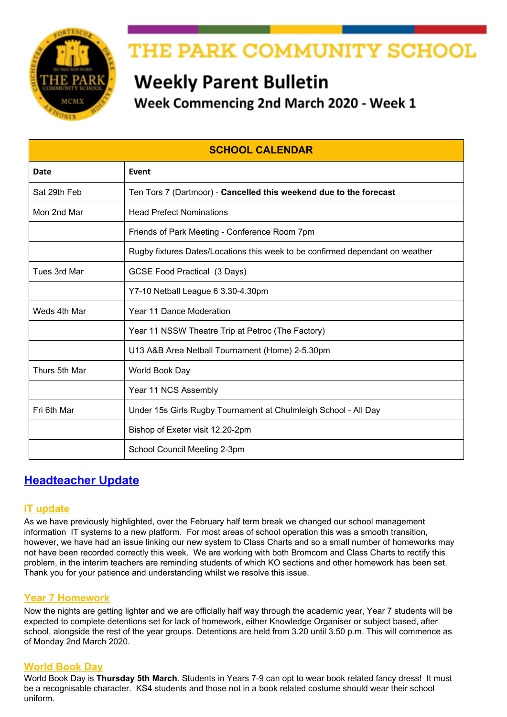## **KS4 INFORMATION**



## **GCSEPOD**

Well done to Year 11 students who have managed to download 3000 podcasts since September. This is a great tool to help with your revision.

## **Year 11 GCSE Exam Timetable**

The GCSE exam timetable has been issued this week to all students, we have also posted a copy on our website under the "Events" menu. A link to the timetable is also provided [here](http://www.theparkschool.org.uk/sites/default/files/GCSE-Student-Examination-Timetable-2020.pdf).

### **Year 11 Revision Session Timetable**

Please see link to the current Year 11 Revision Session [Timetable](https://docs.google.com/document/d/e/2PACX-1vTPsd4YeatVdWH7VU97eQjB6lHLh8SyB0wIFRd2DUkw8xKFuBKD-VyYHnyKrRgJA5s2dSnxWxr4AHIQ/pub) uploaded on our website under the "Events" menu. It would be great if parents/carers could encourage their sons/daughters in Year 11 to attend these revision sessions.

## **Year 11 College Interviews**

Invitations for interview are coming through. Students should sign out at Pupil Reception and bring evidence of their interview to sign out; this will save time getting permission to leave school. Students should take their Progress Folder with them to the interview and return it to their Tutor after the interview.

### **Year 10 Mock GCSE & BTEC Exam Timetable**

A copy of the Year 10 Mock and BTEC timetable can be found [here](http://www.theparkschool.org.uk/sites/default/files/Y10-Mock-and-BTEC-Exam-Timetable.pdf) and on our website under the "Events" menu.

#### **Year 11 College Open Events**

Please visit the college websites for more information.

#### **Exeter College**

ľ

j

Exeter College Showcase - 23rd April 2020

## **DONATION REQUESTS**

#### **Girls Pants And Tights**

We are part of the Red Box Scheme which provides free sanitary ware for students.

We keep in school girls pants and tights to be available when needed. Please hand any donations into the School Office. We are currently short in stock of the following and would really appreciate any donations from parents/carers:

**Tights - Black Opaque 60 Deniers - All sizes Pants - Black briefs - All sizes**

### **Park Gardening Club**

We are very grateful to have received donations of various garden tools.

We would still really appreciate any donations of **garden gloves or seeds trays** (we are happy to reuse plastic fruit/vegetable punnet trays from the supermarket).



Please hand in any donations to the School Office where it will be greatly received.